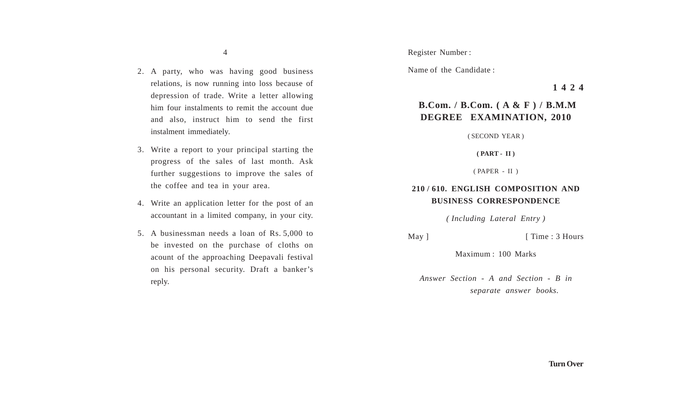- 2. A party, who was having good business relations, is now running into loss because of depression of trade. Write a letter allowing him four instalments to remit the account due and also, instruct him to send the first instalment immediately.
- 3. Write a report to your principal starting the progress of the sales of last month. Ask further suggestions to improve the sales of the coffee and tea in your area.
- 4. Write an application letter for the post of an accountant in a limited company, in your city.
- 5. A businessman needs a loan of Rs. 5,000 to be invested on the purchase of cloths on acount of the approaching Deepavali festival on his personal security. Draft a banker's reply.

Register Number :

Name of the Candidate :

**1 4 2 4**

# **B.Com. / B.Com. ( A & F ) / B.M.M DEGREE EXAMINATION, 2010**

( SECOND YEAR )

**( PART - II )**

( PAPER - II )

## **210 / 610. ENGLISH COMPOSITION AND BUSINESS CORRESPONDENCE**

*( Including Lateral Entry )*

May ] [ Time : 3 Hours

Maximum : 100 Marks

*Answer Section - A and Section - B in separate answer books.*

**Turn Over**